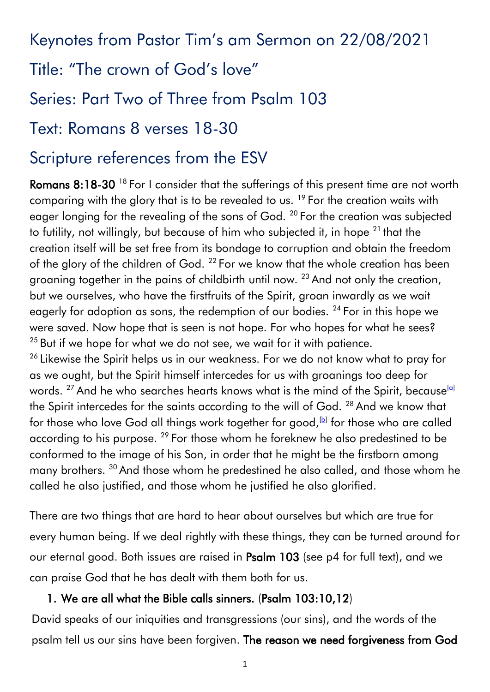Keynotes from Pastor Tim's am Sermon on 22/08/2021

Title: "The crown of God's love"

Series: Part Two of Three from Psalm 103

### Text: Romans 8 verses 18-30

# Scripture references from the ESV

Romans 8:18-30<sup>18</sup> For I consider that the sufferings of this present time are not worth comparing with the glory that is to be revealed to us.<sup>19</sup> For the creation waits with eager longing for the revealing of the sons of God.<sup>20</sup> For the creation was subjected to futility, not willingly, but because of him who subjected it, in hope  $21$  that the creation itself will be set free from its bondage to corruption and obtain the freedom of the glory of the children of God. <sup>22</sup> For we know that the whole creation has been groaning together in the pains of childbirth until now.<sup>23</sup> And not only the creation, but we ourselves, who have the firstfruits of the Spirit, groan inwardly as we wait eagerly for adoption as sons, the redemption of our bodies. <sup>24</sup> For in this hope we were saved. Now hope that is seen is not hope. For who hopes for what he sees?  $25$  But if we hope for what we do not see, we wait for it with patience.

<sup>26</sup> Likewise the Spirit helps us in our weakness. For we do not know what to pray for as we ought, but the Spirit himself intercedes for us with groanings too deep for words. <sup>27</sup> And he who searches hearts knows what is the mind of the Spirit, because<sup>[\[a\]](https://www.biblegateway.com/passage/?search=Romans8%3A18-30&version=ESV#fen-ESV-28128a)</sup> the Spirit intercedes for the saints according to the will of God. <sup>28</sup> And we know that for those who love God all things work together for good, $\mathbb B$  for those who are called according to his purpose. <sup>29</sup> For those whom he foreknew he also predestined to be conformed to the image of his Son, in order that he might be the firstborn among many brothers. <sup>30</sup> And those whom he predestined he also called, and those whom he called he also justified, and those whom he justified he also glorified.

There are two things that are hard to hear about ourselves but which are true for every human being. If we deal rightly with these things, they can be turned around for our eternal good. Both issues are raised in Psalm 103 (see p4 for full text), and we can praise God that he has dealt with them both for us.

#### 1. We are all what the Bible calls sinners. (Psalm 103:10,12)

David speaks of our iniquities and transgressions (our sins), and the words of the psalm tell us our sins have been forgiven. The reason we need forgiveness from God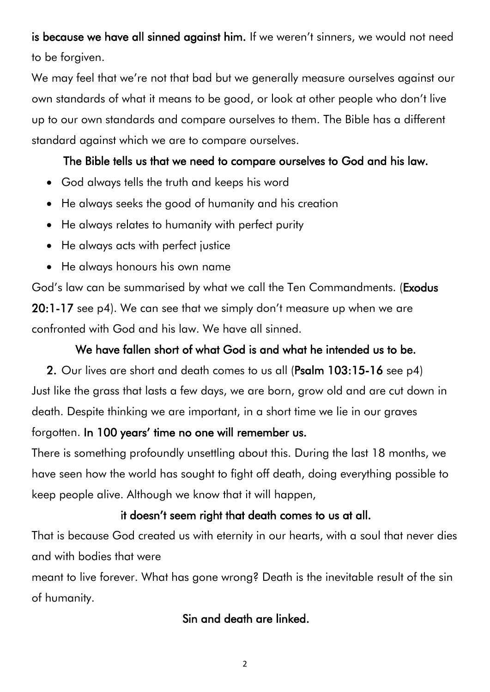is because we have all sinned against him. If we weren't sinners, we would not need to be forgiven.

We may feel that we're not that bad but we generally measure ourselves against our own standards of what it means to be good, or look at other people who don't live up to our own standards and compare ourselves to them. The Bible has a different standard against which we are to compare ourselves.

#### The Bible tells us that we need to compare ourselves to God and his law.

- God always tells the truth and keeps his word
- He always seeks the good of humanity and his creation
- He always relates to humanity with perfect purity
- He always acts with perfect justice
- He always honours his own name

God's law can be summarised by what we call the Ten Commandments. (Exodus 20:1-17 see p4). We can see that we simply don't measure up when we are confronted with God and his law. We have all sinned.

#### We have fallen short of what God is and what he intended us to be.

2. Our lives are short and death comes to us all (Psalm 103:15-16 see p4) Just like the grass that lasts a few days, we are born, grow old and are cut down in death. Despite thinking we are important, in a short time we lie in our graves

#### forgotten. In 100 years' time no one will remember us.

There is something profoundly unsettling about this. During the last 18 months, we have seen how the world has sought to fight off death, doing everything possible to keep people alive. Although we know that it will happen,

#### it doesn't seem right that death comes to us at all.

That is because God created us with eternity in our hearts, with a soul that never dies and with bodies that were

meant to live forever. What has gone wrong? Death is the inevitable result of the sin of humanity.

#### Sin and death are linked.

2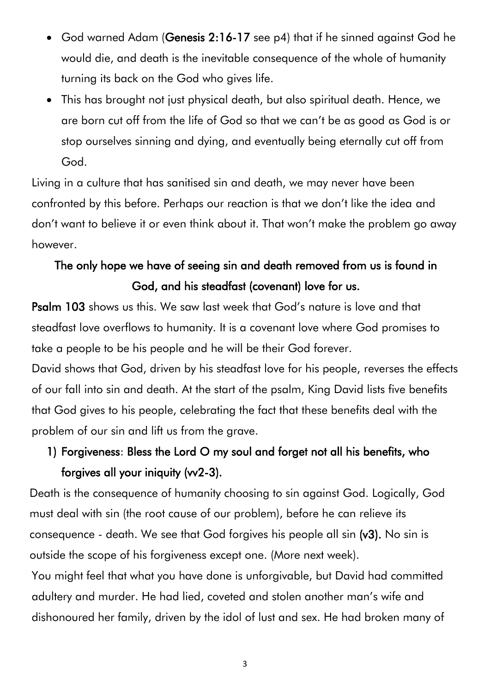- God warned Adam (Genesis 2:16-17 see p4) that if he sinned against God he would die, and death is the inevitable consequence of the whole of humanity turning its back on the God who gives life.
- This has brought not just physical death, but also spiritual death. Hence, we are born cut off from the life of God so that we can't be as good as God is or stop ourselves sinning and dying, and eventually being eternally cut off from God.

Living in a culture that has sanitised sin and death, we may never have been confronted by this before. Perhaps our reaction is that we don't like the idea and don't want to believe it or even think about it. That won't make the problem go away however.

## The only hope we have of seeing sin and death removed from us is found in God, and his steadfast (covenant) love for us.

Psalm 103 shows us this. We saw last week that God's nature is love and that steadfast love overflows to humanity. It is a covenant love where God promises to take a people to be his people and he will be their God forever.

David shows that God, driven by his steadfast love for his people, reverses the effects of our fall into sin and death. At the start of the psalm, King David lists five benefits that God gives to his people, celebrating the fact that these benefits deal with the problem of our sin and lift us from the grave.

### 1) Forgiveness: Bless the Lord O my soul and forget not all his benefits, who forgives all your iniquity (vv2-3).

Death is the consequence of humanity choosing to sin against God. Logically, God must deal with sin (the root cause of our problem), before he can relieve its consequence - death. We see that God forgives his people all sin (v3). No sin is outside the scope of his forgiveness except one. (More next week).

You might feel that what you have done is unforgivable, but David had committed adultery and murder. He had lied, coveted and stolen another man's wife and dishonoured her family, driven by the idol of lust and sex. He had broken many of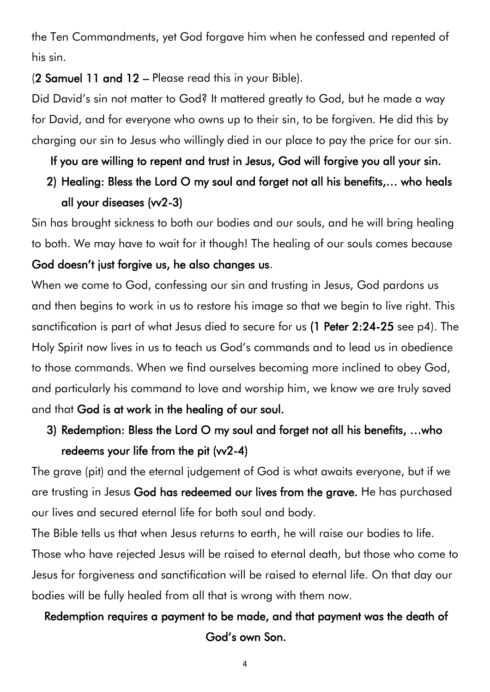the Ten Commandments, yet God forgave him when he confessed and repented of his sin.

(2 Samuel 11 and 12 – Please read this in your Bible).

Did David's sin not matter to God? It mattered greatly to God, but he made a way for David, and for everyone who owns up to their sin, to be forgiven. He did this by charging our sin to Jesus who willingly died in our place to pay the price for our sin.

If you are willing to repent and trust in Jesus, God will forgive you all your sin.

## 2) Healing: Bless the Lord O my soul and forget not all his benefits,… who heals all your diseases (vv2-3)

Sin has brought sickness to both our bodies and our souls, and he will bring healing to both. We may have to wait for it though! The healing of our souls comes because God doesn't just forgive us, he also changes us.

When we come to God, confessing our sin and trusting in Jesus, God pardons us and then begins to work in us to restore his image so that we begin to live right. This sanctification is part of what Jesus died to secure for us (1 Peter 2:24-25 see p4). The Holy Spirit now lives in us to teach us God's commands and to lead us in obedience to those commands. When we find ourselves becoming more inclined to obey God, and particularly his command to love and worship him, we know we are truly saved and that God is at work in the healing of our soul.

### 3) Redemption: Bless the Lord O my soul and forget not all his benefits, …who redeems your life from the pit  $(vv2-4)$

The grave (pit) and the eternal judgement of God is what awaits everyone, but if we are trusting in Jesus God has redeemed our lives from the grave. He has purchased our lives and secured eternal life for both soul and body.

The Bible tells us that when Jesus returns to earth, he will raise our bodies to life. Those who have rejected Jesus will be raised to eternal death, but those who come to Jesus for forgiveness and sanctification will be raised to eternal life. On that day our bodies will be fully healed from all that is wrong with them now.

#### Redemption requires a payment to be made, and that payment was the death of God's own Son.

4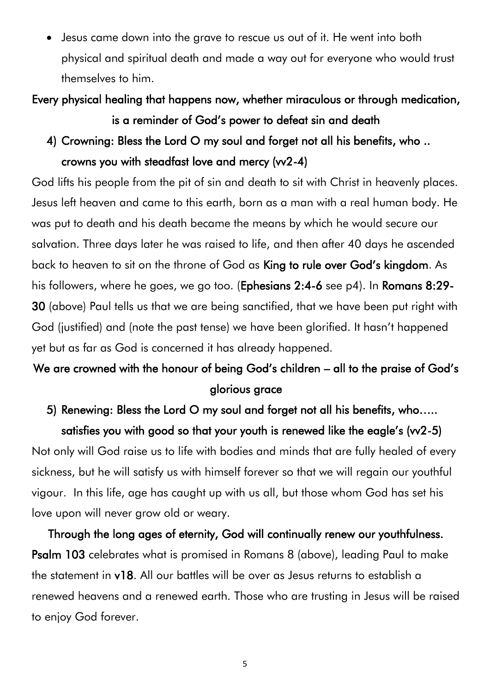• Jesus came down into the grave to rescue us out of it. He went into both physical and spiritual death and made a way out for everyone who would trust themselves to him.

Every physical healing that happens now, whether miraculous or through medication, is a reminder of God's power to defeat sin and death

4) Crowning: Bless the Lord O my soul and forget not all his benefits, who .. crowns you with steadfast love and mercy (vv2-4)

God lifts his people from the pit of sin and death to sit with Christ in heavenly places. Jesus left heaven and came to this earth, born as a man with a real human body. He was put to death and his death became the means by which he would secure our salvation. Three days later he was raised to life, and then after 40 days he ascended back to heaven to sit on the throne of God as King to rule over God's kingdom. As his followers, where he goes, we go too. (Ephesians 2:4-6 see p4). In Romans 8:29- 30 (above) Paul tells us that we are being sanctified, that we have been put right with God (justified) and (note the past tense) we have been glorified. It hasn't happened yet but as far as God is concerned it has already happened.

### We are crowned with the honour of being God's children – all to the praise of God's glorious grace

## 5) Renewing: Bless the Lord O my soul and forget not all his benefits, who….. satisfies you with good so that your youth is renewed like the eagle's (w2-5)

Not only will God raise us to life with bodies and minds that are fully healed of every sickness, but he will satisfy us with himself forever so that we will regain our youthful vigour. In this life, age has caught up with us all, but those whom God has set his love upon will never grow old or weary.

Through the long ages of eternity, God will continually renew our youthfulness. Psalm 103 celebrates what is promised in Romans 8 (above), leading Paul to make the statement in v18. All our battles will be over as Jesus returns to establish a renewed heavens and a renewed earth. Those who are trusting in Jesus will be raised to enjoy God forever.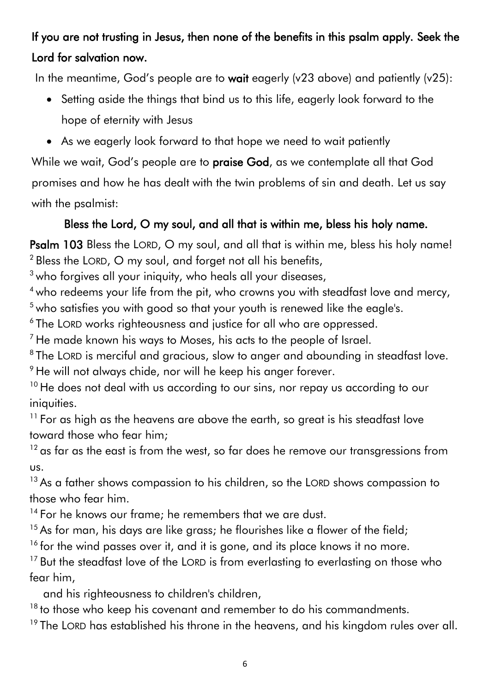### If you are not trusting in Jesus, then none of the benefits in this psalm apply. Seek the Lord for salvation now.

In the meantime, God's people are to wait eagerly (v23 above) and patiently (v25):

- Setting aside the things that bind us to this life, eagerly look forward to the hope of eternity with Jesus
- As we eagerly look forward to that hope we need to wait patiently

While we wait, God's people are to praise God, as we contemplate all that God promises and how he has dealt with the twin problems of sin and death. Let us say with the psalmist:

#### Bless the Lord, O my soul, and all that is within me, bless his holy name.

Psalm 103 Bless the LORD, O my soul, and all that is within me, bless his holy name! <sup>2</sup> Bless the LORD, O my soul, and forget not all his benefits,

<sup>3</sup> who forgives all your iniquity, who heals all your diseases,

<sup>4</sup> who redeems your life from the pit, who crowns you with steadfast love and mercy, <sup>5</sup> who satisfies you with good so that your youth is renewed like the eagle's.

6 The LORD works righteousness and justice for all who are oppressed.

 $<sup>7</sup>$  He made known his ways to Moses, his acts to the people of Israel.</sup>

 $8$ The LORD is merciful and gracious, slow to anger and abounding in steadfast love.  $9$  He will not always chide, nor will he keep his anger forever.

 $10$  He does not deal with us according to our sins, nor repay us according to our iniquities.

<sup>11</sup> For as high as the heavens are above the earth, so great is his steadfast love toward those who fear him;

 $12$  as far as the east is from the west, so far does he remove our transgressions from us.

 $13$  As a father shows compassion to his children, so the LORD shows compassion to those who fear him.

<sup>14</sup> For he knows our frame; he remembers that we are dust.

 $15$  As for man, his days are like grass; he flourishes like a flower of the field;

 $16$  for the wind passes over it, and it is gone, and its place knows it no more.

<sup>17</sup> But the steadfast love of the LORD is from everlasting to everlasting on those who fear him,

and his righteousness to children's children,

 $18$  to those who keep his covenant and remember to do his commandments.

 $19$  The LORD has established his throne in the heavens, and his kingdom rules over all.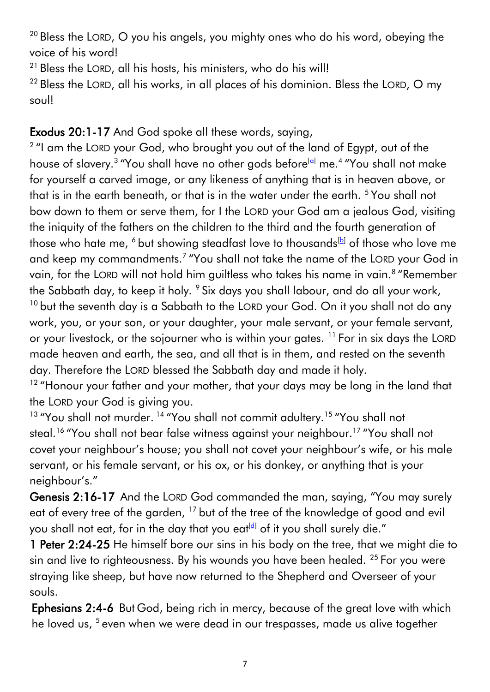$20$  Bless the LORD, O you his angels, you mighty ones who do his word, obeying the voice of his word!

 $21$  Bless the LORD, all his hosts, his ministers, who do his will!

 $22$  Bless the LORD, all his works, in all places of his dominion. Bless the LORD, O my soul!

#### Exodus 20:1-17 And God spoke all these words, saying,

 $2$  "I am the LORD your God, who brought you out of the land of Egypt, out of the house of slavery.<sup>3</sup> "You shall have no other gods before<sup>[<u>a</u>]</sup> me.<sup>4</sup> "You shall not make for yourself a carved image, or any likeness of anything that is in heaven above, or that is in the earth beneath, or that is in the water under the earth. <sup>5</sup> You shall not bow down to them or serve them, for I the LORD your God am a jealous God, visiting the iniquity of the fathers on the children to the third and the fourth generation of those who hate me,  $6$  but showing steadfast love to thousands<sup>[\[b\]](https://www.biblegateway.com/passage/?search=exodus+20&version=ESV#fen-ESV-2058b)</sup> of those who love me and keep my commandments.<sup>7</sup> "You shall not take the name of the LORD your God in vain, for the LORD will not hold him guiltless who takes his name in vain.<sup>8</sup> "Remember the Sabbath day, to keep it holy. <sup>9</sup> Six days you shall labour, and do all your work, <sup>10</sup> but the seventh day is a Sabbath to the LORD your God. On it you shall not do any work, you, or your son, or your daughter, your male servant, or your female servant, or your livestock, or the sojourner who is within your gates. <sup>11</sup> For in six days the LORD made heaven and earth, the sea, and all that is in them, and rested on the seventh day. Therefore the LORD blessed the Sabbath day and made it holy.

<sup>12</sup> "Honour your father and your mother, that your days may be long in the land that the LORD your God is giving you.

<sup>13</sup> "You shall not murder.<sup>14</sup> "You shall not commit adultery.<sup>15</sup> "You shall not steal.<sup>16</sup> "You shall not bear false witness against your neighbour.<sup>17</sup> "You shall not covet your neighbour's house; you shall not covet your neighbour's wife, or his male servant, or his female servant, or his ox, or his donkey, or anything that is your neighbour's."

Genesis 2:16-17 And the LORD God commanded the man, saying, "You may surely eat of every tree of the garden, <sup>17</sup> but of the tree of the knowledge of good and evil you shall not eat, for in the day that you eat<sup>[\[d\]](https://www.biblegateway.com/passage/?search=Genesis+2&version=ESV#fen-ESV-48d)</sup> of it you shall surely die."

1 Peter 2:24-25 He himself bore our sins in his body on the tree, that we might die to sin and live to righteousness. By his wounds you have been healed. <sup>25</sup> For you were straying like sheep, but have now returned to the Shepherd and Overseer of your souls.

Ephesians 2:4-6 But God, being rich in mercy, because of the great love with which he loved us, <sup>5</sup> even when we were dead in our trespasses, made us alive together